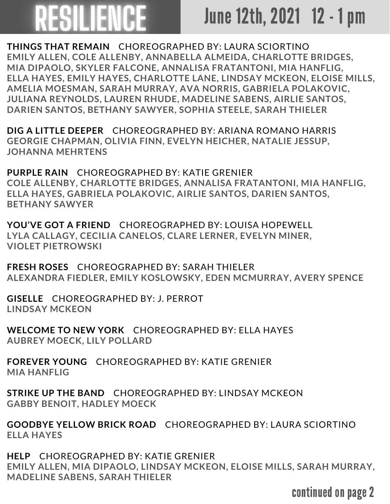## **ESILIENCE**

## June 12th, 2021 12 - 1 pm

**THINGS THAT REMAIN** CHOREOGRAPHED BY: LAURA SCIORTINO **EMILY ALLEN, COLE ALLENBY, ANNABELLA ALMEIDA, CHARLOTTE BRIDGES, MIA DIPAOLO, SKYLER FALCONE, ANNALISA FRATANTONI, MIA HANFLIG, ELLA HAYES, EMILY HAYES, CHARLOTTE LANE, LINDSAY MCKEON, ELOISE MILLS, AMELIA MOESMAN, SARAH MURRAY, AVA NORRIS, GABRIELA POLAKOVIC, JULIANA REYNOLDS, LAUREN RHUDE, MADELINE SABENS, AIRLIE SANTOS, DARIEN SANTOS, BETHANY SAWYER, SOPHIA STEELE, SARAH THIELER**

**DIG A LITTLE DEEPER** CHOREOGRAPHED BY: ARIANA ROMANO HARRIS **GEORGIE CHAPMAN, OLIVIA FINN, EVELYN HEICHER, NATALIE JESSUP, JOHANNA MEHRTENS**

**PURPLE RAIN** CHOREOGRAPHED BY: KATIE GRENIER **COLE ALLENBY, CHARLOTTE BRIDGES, ANNALISA FRATANTONI, MIA HANFLIG, ELLA HAYES, GABRIELA POLAKOVIC, AIRLIE SANTOS, DARIEN SANTOS, BETHANY SAWYER**

**YOU'VE GOT A FRIEND** CHOREOGRAPHED BY: LOUISA HOPEWELL **LYLA CALLAGY, CECILIA CANELOS, CLARE LERNER, EVELYN MINER, VIOLET PIETROWSKI**

**FRESH ROSES** CHOREOGRAPHED BY: SARAH THIELER **ALEXANDRA FIEDLER, EMILY KOSLOWSKY, EDEN MCMURRAY, AVERY SPENCE**

**GISELLE** CHOREOGRAPHED BY: J. PERROT **LINDSAY MCKEON**

**WELCOME TO NEW YORK** CHOREOGRAPHED BY: ELLA HAYES **AUBREY MOECK, LILY POLLARD**

**FOREVER YOUNG** CHOREOGRAPHED BY: KATIE GRENIER **MIA HANFLIG**

**STRIKE UP THE BAND** CHOREOGRAPHED BY: LINDSAY MCKEON **GABBY BENOIT, HADLEY MOECK**

**GOODBYE YELLOW BRICK ROAD** CHOREOGRAPHED BY: LAURA SCIORTINO **ELLA HAYES**

**HELP** CHOREOGRAPHED BY: KATIE GRENIER **EMILY ALLEN, MIA DIPAOLO, LINDSAY MCKEON, ELOISE MILLS, SARAH MURRAY, MADELINE SABENS, SARAH THIELER**

continued on page 2